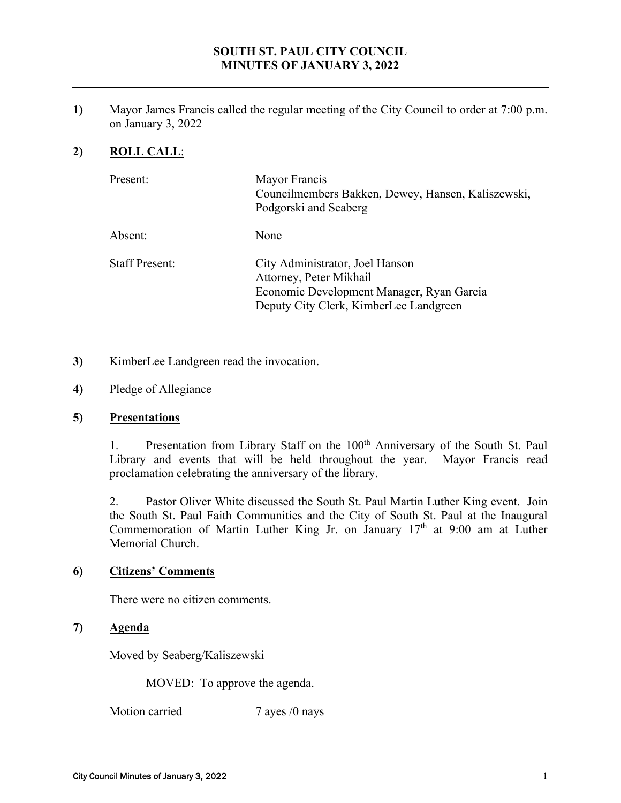# **SOUTH ST. PAUL CITY COUNCIL MINUTES OF JANUARY 3, 2022**

**1)** Mayor James Francis called the regular meeting of the City Council to order at 7:00 p.m. on January 3, 2022

# **2) ROLL CALL**:

| Present:              | Mayor Francis<br>Councilmembers Bakken, Dewey, Hansen, Kaliszewski,<br>Podgorski and Seaberg                                                      |
|-----------------------|---------------------------------------------------------------------------------------------------------------------------------------------------|
| Absent:               | None                                                                                                                                              |
| <b>Staff Present:</b> | City Administrator, Joel Hanson<br>Attorney, Peter Mikhail<br>Economic Development Manager, Ryan Garcia<br>Deputy City Clerk, KimberLee Landgreen |

- **3)** KimberLee Landgreen read the invocation.
- **4)** Pledge of Allegiance

### **5) Presentations**

1. Presentation from Library Staff on the 100<sup>th</sup> Anniversary of the South St. Paul Library and events that will be held throughout the year. Mayor Francis read proclamation celebrating the anniversary of the library.

2. Pastor Oliver White discussed the South St. Paul Martin Luther King event. Join the South St. Paul Faith Communities and the City of South St. Paul at the Inaugural Commemoration of Martin Luther King Jr. on January  $17<sup>th</sup>$  at 9:00 am at Luther Memorial Church.

### **6) Citizens' Comments**

There were no citizen comments.

## **7) Agenda**

Moved by Seaberg/Kaliszewski

MOVED: To approve the agenda.

Motion carried 7 ayes /0 nays